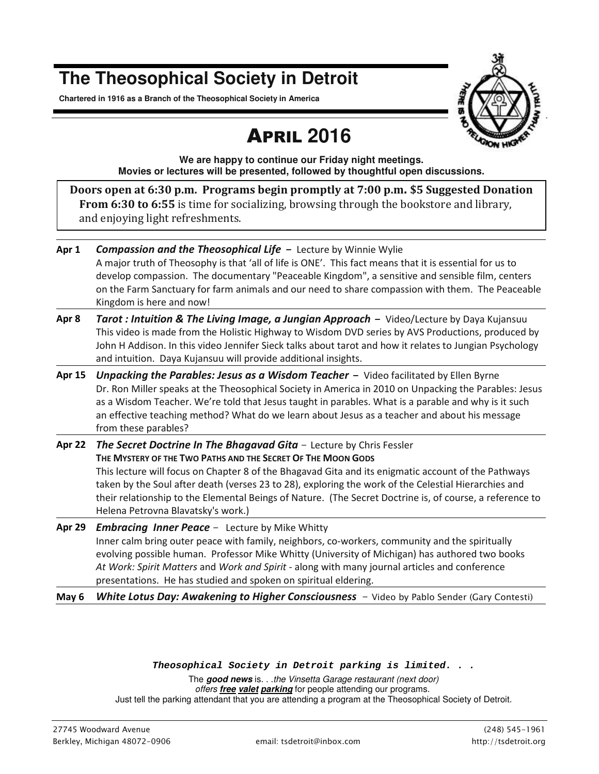## **The Theosophical Society in Detroit**

**Chartered in 1916 as a Branch of the Theosophical Society in America** 



# APRIL **2016**

**We are happy to continue our Friday night meetings. Movies or lectures will be presented, followed by thoughtful open discussions.** 

**Doors open at 6:30 p.m. Programs begin promptly at 7:00 p.m. \$5 Suggested Donation From 6:30 to 6:55** is time for socializing, browsing through the bookstore and library, and enjoying light refreshments.

**Apr 1** *Compassion and the Theosophical Life-* Lecture by Winnie Wylie A major truth of Theosophy is that 'all of life is ONE'. This fact means that it is essential for us to develop compassion. The documentary "Peaceable Kingdom", a sensitive and sensible film, centers on the Farm Sanctuary for farm animals and our need to share compassion with them. The Peaceable Kingdom is here and now! **Apr 8** *Tarot : Intuition & The Living Image, a Jungian Approach -* Video/Lecture by Daya Kujansuu This video is made from the Holistic Highway to Wisdom DVD series by AVS Productions, produced by John H Addison. In this video Jennifer Sieck talks about tarot and how it relates to Jungian Psychology and intuition. Daya Kujansuu will provide additional insights. **Apr 15** *Unpacking the Parables: Jesus as a Wisdom Teacher -* Video facilitated by Ellen Byrne Dr. Ron Miller speaks at the Theosophical Society in America in 2010 on Unpacking the Parables: Jesus as a Wisdom Teacher. We're told that Jesus taught in parables. What is a parable and why is it such an effective teaching method? What do we learn about Jesus as a teacher and about his message from these parables? **Apr 22** *The Secret Doctrine In The Bhagavad Gita -* Lecture by Chris Fessler **THE MYSTERY OF THE TWO PATHS AND THE SECRET OF THE MOON GODS**

This lecture will focus on Chapter 8 of the Bhagavad Gita and its enigmatic account of the Pathways taken by the Soul after death (verses 23 to 28), exploring the work of the Celestial Hierarchies and their relationship to the Elemental Beings of Nature. (The Secret Doctrine is, of course, a reference to Helena Petrovna Blavatsky's work.)

**Apr 29** *Embracing Inner Peace -* Lecture by Mike Whitty Inner calm bring outer peace with family, neighbors, co-workers, community and the spiritually evolving possible human. Professor Mike Whitty (University of Michigan) has authored two books *At Work: Spirit Matters* and *Work and Spirit* - along with many journal articles and conference presentations. He has studied and spoken on spiritual eldering.

**May 6** *White Lotus Day: Awakening to Higher Consciousness - Video by Pablo Sender (Gary Contesti)*

#### *Theosophical Society in Detroit parking is limited. . .*

The **good news** is. . .the Vinsetta Garage restaurant (next door) offers **free valet parking** for people attending our programs. Just tell the parking attendant that you are attending a program at the Theosophical Society of Detroit.